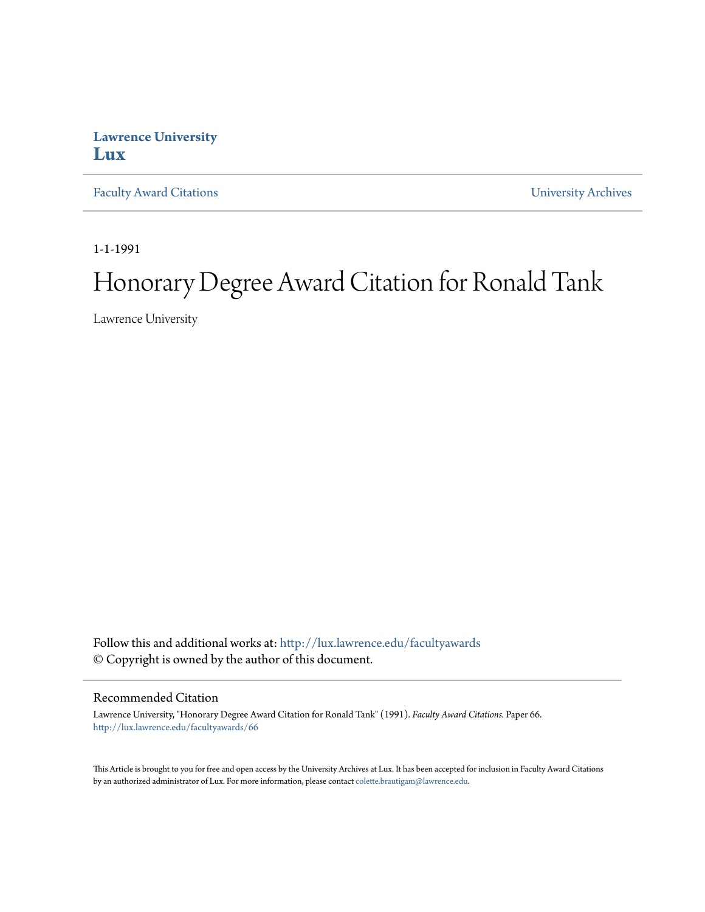## **Lawrence University [Lux](http://lux.lawrence.edu?utm_source=lux.lawrence.edu%2Ffacultyawards%2F66&utm_medium=PDF&utm_campaign=PDFCoverPages)**

[Faculty Award Citations](http://lux.lawrence.edu/facultyawards?utm_source=lux.lawrence.edu%2Ffacultyawards%2F66&utm_medium=PDF&utm_campaign=PDFCoverPages) **Example 2018** [University Archives](http://lux.lawrence.edu/archives?utm_source=lux.lawrence.edu%2Ffacultyawards%2F66&utm_medium=PDF&utm_campaign=PDFCoverPages)

1-1-1991

# Honorary Degree Award Citation for Ronald Tank

Lawrence University

Follow this and additional works at: [http://lux.lawrence.edu/facultyawards](http://lux.lawrence.edu/facultyawards?utm_source=lux.lawrence.edu%2Ffacultyawards%2F66&utm_medium=PDF&utm_campaign=PDFCoverPages) © Copyright is owned by the author of this document.

#### Recommended Citation

Lawrence University, "Honorary Degree Award Citation for Ronald Tank" (1991). *Faculty Award Citations.* Paper 66. [http://lux.lawrence.edu/facultyawards/66](http://lux.lawrence.edu/facultyawards/66?utm_source=lux.lawrence.edu%2Ffacultyawards%2F66&utm_medium=PDF&utm_campaign=PDFCoverPages)

This Article is brought to you for free and open access by the University Archives at Lux. It has been accepted for inclusion in Faculty Award Citations by an authorized administrator of Lux. For more information, please contact [colette.brautigam@lawrence.edu](mailto:colette.brautigam@lawrence.edu).